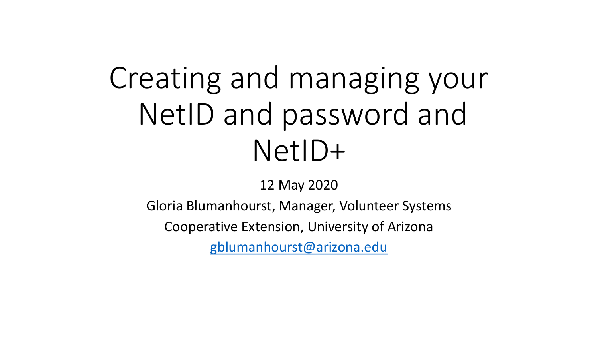# Creating and managing your NetID and password and NetID+

#### 12 May 2020

Gloria Blumanhourst, Manager, Volunteer Systems

Cooperative Extension, University of Arizona

[gblumanhourst@arizona.edu](mailto:gblumanhourst@arizona.edu)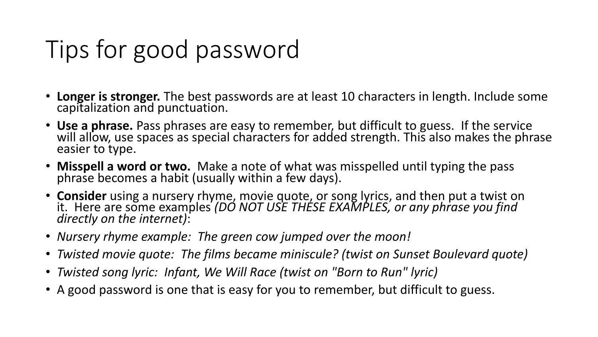## Tips for good password

- **Longer is stronger.** The best passwords are at least 10 characters in length. Include some capitalization and punctuation.
- Use a phrase. Pass phrases are easy to remember, but difficult to guess. If the service will allow, use spaces as special characters for added strength. This also makes the phrase easier to type.
- **Misspell a word or two.** Make a note of what was misspelled until typing the pass phrase becomes a habit (usually within a few days).
- **Consider** using a nursery rhyme, movie quote, or song lyrics, and then put a twist on it. Here are some examples *(DO NOT USE THESE EXAMPLES, or any phrase you find directly on the internet)*:
- *Nursery rhyme example: The green cow jumped over the moon!*
- *Twisted movie quote: The films became miniscule? (twist on Sunset Boulevard quote)*
- *Twisted song lyric: Infant, We Will Race (twist on "Born to Run" lyric)*
- A good password is one that is easy for you to remember, but difficult to guess.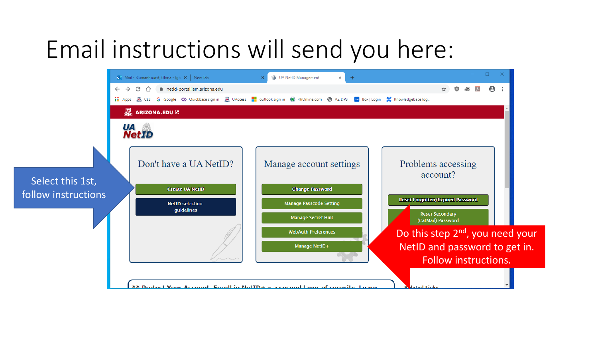#### Email instructions will send you here:

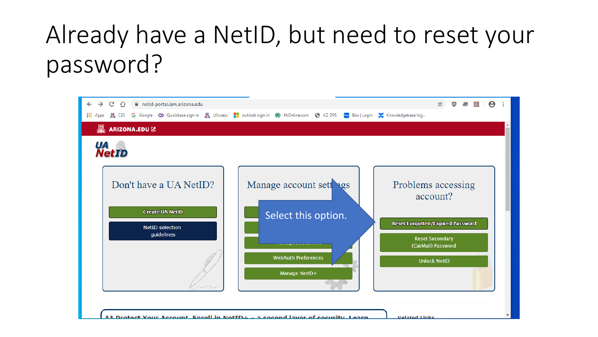### Already have a NetID, but need to reset your password?

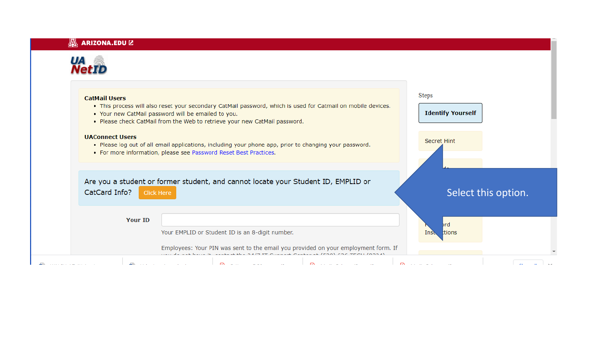#### $\mathbb{Z}$  ARIZONA.EDU  $\mathbb{Z}$

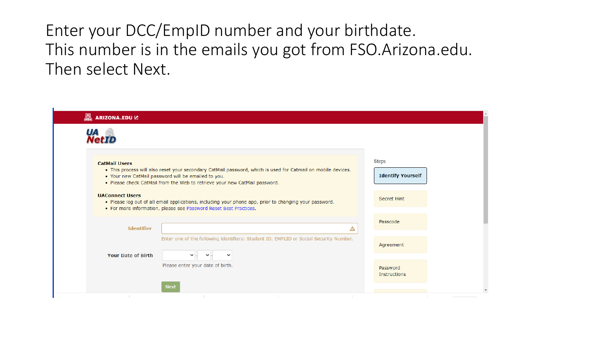Enter your DCC/EmpID number and your birthdate. This number is in the emails you got from FSO.Arizona.edu. Then select Next.

|                                  | Steps<br><b>Identify Yourself</b>                                                                                                                                                                                                                                                                                                                                                                                                                                                                                         |
|----------------------------------|---------------------------------------------------------------------------------------------------------------------------------------------------------------------------------------------------------------------------------------------------------------------------------------------------------------------------------------------------------------------------------------------------------------------------------------------------------------------------------------------------------------------------|
|                                  | Secret Hint                                                                                                                                                                                                                                                                                                                                                                                                                                                                                                               |
| ◬                                | Passcode                                                                                                                                                                                                                                                                                                                                                                                                                                                                                                                  |
| $\checkmark$                     | Agreement                                                                                                                                                                                                                                                                                                                                                                                                                                                                                                                 |
| Please enter your date of birth. | Password<br>Instructions                                                                                                                                                                                                                                                                                                                                                                                                                                                                                                  |
|                                  | . This process will also reset your secondary CatMail password, which is used for Catmail on mobile devices.<br>. Your new CatMail password will be emailed to you.<br>. Please check CatMail from the Web to retrieve your new CatMail password.<br>. Please log out of all email applications, including your phone app, prior to changing your password.<br>• For more information, please see Password Reset Best Practices.<br>Enter one of the following identifiers: Student ID, EMPLID or Social Security Number. |